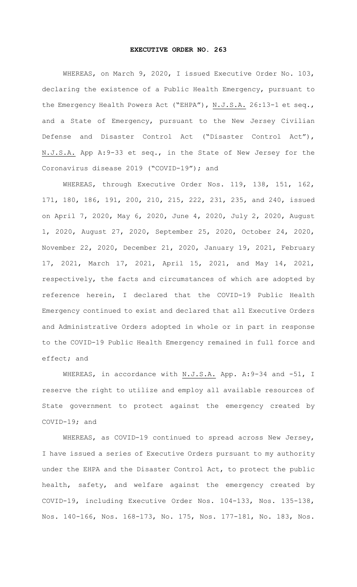## **EXECUTIVE ORDER NO. 263**

WHEREAS, on March 9, 2020, I issued Executive Order No. 103, declaring the existence of a Public Health Emergency, pursuant to the Emergency Health Powers Act ("EHPA"), N.J.S.A. 26:13-1 et seq., and a State of Emergency, pursuant to the New Jersey Civilian Defense and Disaster Control Act ("Disaster Control Act"), N.J.S.A. App A: 9-33 et seq., in the State of New Jersey for the Coronavirus disease 2019 ("COVID-19"); and

WHEREAS, through Executive Order Nos. 119, 138, 151, 162, 171, 180, 186, 191, 200, 210, 215, 222, 231, 235, and 240, issued on April 7, 2020, May 6, 2020, June 4, 2020, July 2, 2020, August 1, 2020, August 27, 2020, September 25, 2020, October 24, 2020, November 22, 2020, December 21, 2020, January 19, 2021, February 17, 2021, March 17, 2021, April 15, 2021, and May 14, 2021, respectively, the facts and circumstances of which are adopted by reference herein, I declared that the COVID-19 Public Health Emergency continued to exist and declared that all Executive Orders and Administrative Orders adopted in whole or in part in response to the COVID-19 Public Health Emergency remained in full force and effect; and

WHEREAS, in accordance with N.J.S.A. App. A: 9-34 and -51, I reserve the right to utilize and employ all available resources of State government to protect against the emergency created by COVID-19; and

WHEREAS, as COVID-19 continued to spread across New Jersey, I have issued a series of Executive Orders pursuant to my authority under the EHPA and the Disaster Control Act, to protect the public health, safety, and welfare against the emergency created by COVID-19, including Executive Order Nos. 104-133, Nos. 135-138, Nos. 140-166, Nos. 168-173, No. 175, Nos. 177-181, No. 183, Nos.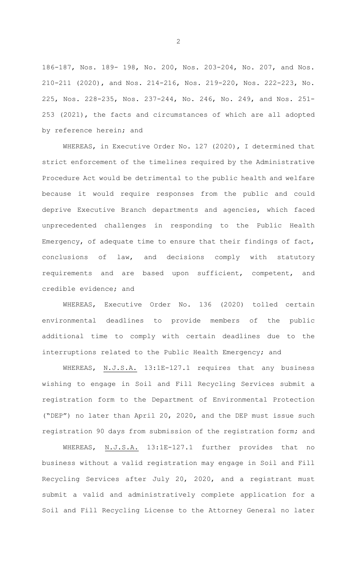186-187, Nos. 189- 198, No. 200, Nos. 203-204, No. 207, and Nos. 210-211 (2020), and Nos. 214-216, Nos. 219-220, Nos. 222-223, No. 225, Nos. 228-235, Nos. 237-244, No. 246, No. 249, and Nos. 251- 253 (2021), the facts and circumstances of which are all adopted by reference herein; and

WHEREAS, in Executive Order No. 127 (2020), I determined that strict enforcement of the timelines required by the Administrative Procedure Act would be detrimental to the public health and welfare because it would require responses from the public and could deprive Executive Branch departments and agencies, which faced unprecedented challenges in responding to the Public Health Emergency, of adequate time to ensure that their findings of fact, conclusions of law, and decisions comply with statutory requirements and are based upon sufficient, competent, and credible evidence; and

WHEREAS, Executive Order No. 136 (2020) tolled certain environmental deadlines to provide members of the public additional time to comply with certain deadlines due to the interruptions related to the Public Health Emergency; and

WHEREAS, N.J.S.A. 13:1E-127.1 requires that any business wishing to engage in Soil and Fill Recycling Services submit a registration form to the Department of Environmental Protection ("DEP") no later than April 20, 2020, and the DEP must issue such registration 90 days from submission of the registration form; and

WHEREAS, N.J.S.A. 13:1E-127.1 further provides that no business without a valid registration may engage in Soil and Fill Recycling Services after July 20, 2020, and a registrant must submit a valid and administratively complete application for a Soil and Fill Recycling License to the Attorney General no later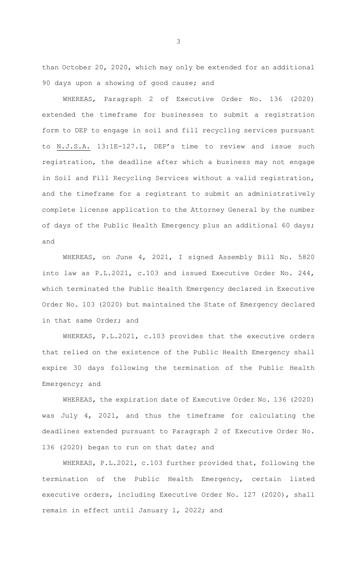than October 20, 2020, which may only be extended for an additional 90 days upon a showing of good cause; and

WHEREAS, Paragraph 2 of Executive Order No. 136 (2020) extended the timeframe for businesses to submit a registration form to DEP to engage in soil and fill recycling services pursuant to N.J.S.A. 13:1E-127.1, DEP's time to review and issue such registration, the deadline after which a business may not engage in Soil and Fill Recycling Services without a valid registration, and the timeframe for a registrant to submit an administratively complete license application to the Attorney General by the number of days of the Public Health Emergency plus an additional 60 days; and

WHEREAS, on June 4, 2021, I signed Assembly Bill No. 5820 into law as P.L.2021, c.103 and issued Executive Order No. 244, which terminated the Public Health Emergency declared in Executive Order No. 103 (2020) but maintained the State of Emergency declared in that same Order; and

WHEREAS, P.L.2021, c.103 provides that the executive orders that relied on the existence of the Public Health Emergency shall expire 30 days following the termination of the Public Health Emergency; and

WHEREAS, the expiration date of Executive Order No. 136 (2020) was July 4, 2021, and thus the timeframe for calculating the deadlines extended pursuant to Paragraph 2 of Executive Order No. 136 (2020) began to run on that date; and

WHEREAS, P.L.2021, c.103 further provided that, following the termination of the Public Health Emergency, certain listed executive orders, including Executive Order No. 127 (2020), shall remain in effect until January 1, 2022; and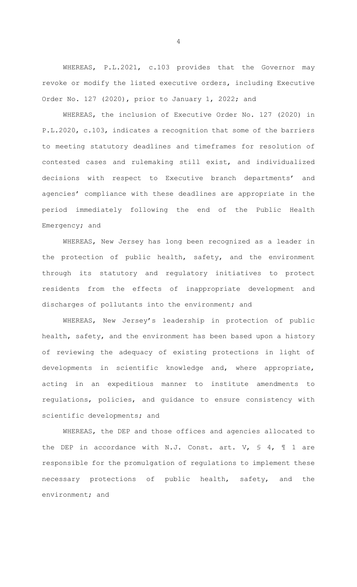WHEREAS, P.L.2021, c.103 provides that the Governor may revoke or modify the listed executive orders, including Executive Order No. 127 (2020), prior to January 1, 2022; and

WHEREAS, the inclusion of Executive Order No. 127 (2020) in P.L.2020, c.103, indicates a recognition that some of the barriers to meeting statutory deadlines and timeframes for resolution of contested cases and rulemaking still exist, and individualized decisions with respect to Executive branch departments' and agencies' compliance with these deadlines are appropriate in the period immediately following the end of the Public Health Emergency; and

WHEREAS, New Jersey has long been recognized as a leader in the protection of public health, safety, and the environment through its statutory and regulatory initiatives to protect residents from the effects of inappropriate development and discharges of pollutants into the environment; and

WHEREAS, New Jersey's leadership in protection of public health, safety, and the environment has been based upon a history of reviewing the adequacy of existing protections in light of developments in scientific knowledge and, where appropriate, acting in an expeditious manner to institute amendments to regulations, policies, and guidance to ensure consistency with scientific developments; and

WHEREAS, the DEP and those offices and agencies allocated to the DEP in accordance with N.J. Const. art. V,  $\leq 4$ ,  $\parallel 1$  are responsible for the promulgation of regulations to implement these necessary protections of public health, safety, and the environment; and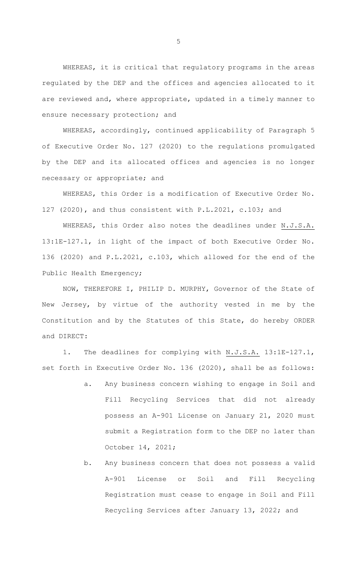WHEREAS, it is critical that regulatory programs in the areas regulated by the DEP and the offices and agencies allocated to it are reviewed and, where appropriate, updated in a timely manner to ensure necessary protection; and

WHEREAS, accordingly, continued applicability of Paragraph 5 of Executive Order No. 127 (2020) to the regulations promulgated by the DEP and its allocated offices and agencies is no longer necessary or appropriate; and

WHEREAS, this Order is a modification of Executive Order No. 127 (2020), and thus consistent with P.L.2021, c.103; and

WHEREAS, this Order also notes the deadlines under N.J.S.A. 13:1E-127.1, in light of the impact of both Executive Order No. 136 (2020) and P.L.2021, c.103, which allowed for the end of the Public Health Emergency;

NOW, THEREFORE I, PHILIP D. MURPHY, Governor of the State of New Jersey, by virtue of the authority vested in me by the Constitution and by the Statutes of this State, do hereby ORDER and DIRECT:

1. The deadlines for complying with N.J.S.A. 13:1E-127.1, set forth in Executive Order No. 136 (2020), shall be as follows:

- a. Any business concern wishing to engage in Soil and Fill Recycling Services that did not already possess an A-901 License on January 21, 2020 must submit a Registration form to the DEP no later than October 14, 2021;
- b. Any business concern that does not possess a valid A-901 License or Soil and Fill Recycling Registration must cease to engage in Soil and Fill Recycling Services after January 13, 2022; and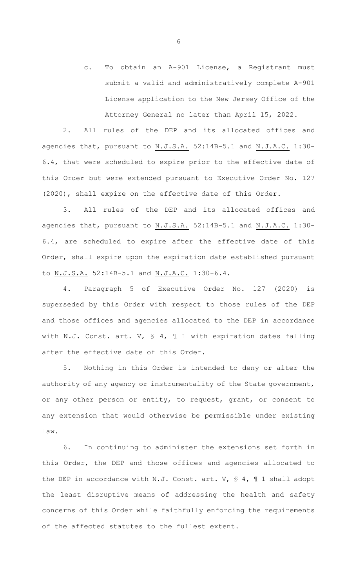c. To obtain an A-901 License, a Registrant must submit a valid and administratively complete A-901 License application to the New Jersey Office of the Attorney General no later than April 15, 2022.

2. All rules of the DEP and its allocated offices and agencies that, pursuant to N.J.S.A. 52:14B-5.1 and N.J.A.C. 1:30- 6.4, that were scheduled to expire prior to the effective date of this Order but were extended pursuant to Executive Order No. 127 (2020), shall expire on the effective date of this Order.

3. All rules of the DEP and its allocated offices and agencies that, pursuant to N.J.S.A. 52:14B-5.1 and N.J.A.C. 1:30- 6.4, are scheduled to expire after the effective date of this Order, shall expire upon the expiration date established pursuant to N.J.S.A. 52:14B-5.1 and N.J.A.C. 1:30-6.4.

4. Paragraph 5 of Executive Order No. 127 (2020) is superseded by this Order with respect to those rules of the DEP and those offices and agencies allocated to the DEP in accordance with N.J. Const. art. V, § 4, ¶ 1 with expiration dates falling after the effective date of this Order.

5. Nothing in this Order is intended to deny or alter the authority of any agency or instrumentality of the State government, or any other person or entity, to request, grant, or consent to any extension that would otherwise be permissible under existing law.

6. In continuing to administer the extensions set forth in this Order, the DEP and those offices and agencies allocated to the DEP in accordance with N.J. Const. art. V, § 4, ¶ 1 shall adopt the least disruptive means of addressing the health and safety concerns of this Order while faithfully enforcing the requirements of the affected statutes to the fullest extent.